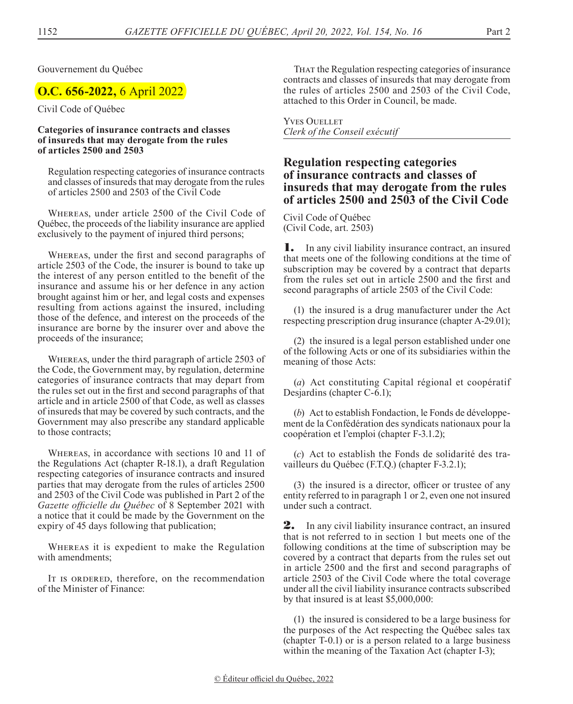Gouvernement du Québec

# **O.C. 656-2022,** 6 April 2022

Civil Code of Québec

#### **Categories of insurance contracts and classes of insureds that may derogate from the rules of articles 2500 and 2503**

Regulation respecting categories of insurance contracts and classes of insureds that may derogate from the rules of articles 2500 and 2503 of the Civil Code

Whereas, under article 2500 of the Civil Code of Québec, the proceeds of the liability insurance are applied exclusively to the payment of injured third persons;

Whereas, under the first and second paragraphs of article 2503 of the Code, the insurer is bound to take up the interest of any person entitled to the benefit of the insurance and assume his or her defence in any action brought against him or her, and legal costs and expenses resulting from actions against the insured, including those of the defence, and interest on the proceeds of the insurance are borne by the insurer over and above the proceeds of the insurance;

Whereas, under the third paragraph of article 2503 of the Code, the Government may, by regulation, determine categories of insurance contracts that may depart from the rules set out in the first and second paragraphs of that article and in article 2500 of that Code, as well as classes of insureds that may be covered by such contracts, and the Government may also prescribe any standard applicable to those contracts;

Whereas, in accordance with sections 10 and 11 of the Regulations Act (chapter R-18.1), a draft Regulation respecting categories of insurance contracts and insured parties that may derogate from the rules of articles 2500 and 2503 of the Civil Code was published in Part 2 of the *Gazette officielle du Québec* of 8 September 2021 with a notice that it could be made by the Government on the expiry of 45 days following that publication;

Whereas it is expedient to make the Regulation with amendments;

It is ordered, therefore, on the recommendation of the Minister of Finance:

That the Regulation respecting categories of insurance contracts and classes of insureds that may derogate from the rules of articles 2500 and 2503 of the Civil Code, attached to this Order in Council, be made.

Yves Ouellet *Clerk of the Conseil exécutif*

## **Regulation respecting categories of insurance contracts and classes of insureds that may derogate from the rules of articles 2500 and 2503 of the Civil Code**

Civil Code of Québec (Civil Code, art. 2503)

1. In any civil liability insurance contract, an insured that meets one of the following conditions at the time of subscription may be covered by a contract that departs from the rules set out in article 2500 and the first and second paragraphs of article 2503 of the Civil Code:

(1) the insured is a drug manufacturer under the Act respecting prescription drug insurance (chapter A-29.01);

(2) the insured is a legal person established under one of the following Acts or one of its subsidiaries within the meaning of those Acts:

(*a*) Act constituting Capital régional et coopératif Desjardins (chapter C-6.1);

(*b*) Act to establish Fondaction, le Fonds de développement de la Confédération des syndicats nationaux pour la coopération et l'emploi (chapter F-3.1.2);

(*c*) Act to establish the Fonds de solidarité des travailleurs du Québec (F.T.Q.) (chapter F-3.2.1);

(3) the insured is a director, officer or trustee of any entity referred to in paragraph 1 or 2, even one not insured under such a contract.

2. In any civil liability insurance contract, an insured that is not referred to in section 1 but meets one of the following conditions at the time of subscription may be covered by a contract that departs from the rules set out in article 2500 and the first and second paragraphs of article 2503 of the Civil Code where the total coverage under all the civil liability insurance contracts subscribed by that insured is at least \$5,000,000:

(1) the insured is considered to be a large business for the purposes of the Act respecting the Québec sales tax (chapter T-0.1) or is a person related to a large business within the meaning of the Taxation Act (chapter I-3);